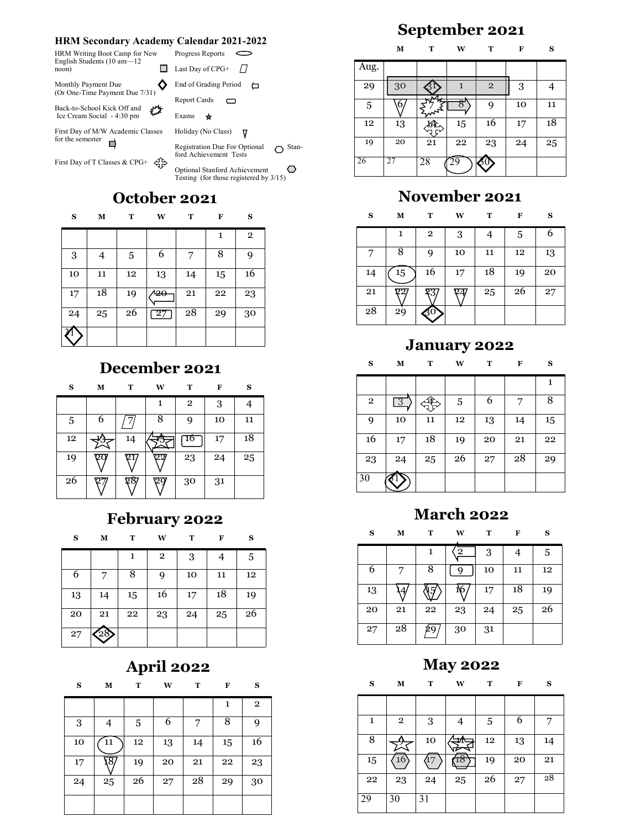### **HRM Secondary Academy Calendar 2021-2022**

| HRM Writing Boot Camp for New<br>English Students $(10 am - 12)$            | Progress Reports               |
|-----------------------------------------------------------------------------|--------------------------------|
| noon)                                                                       | Last Day of CPG+ $\frac{1}{2}$ |
| Monthly Payment Due<br>(Or One-Time Payment Due 7/31)                       | End of Grading Period          |
|                                                                             | Report Cards                   |
| M <sub>1</sub><br>Back-to-School Kick Off and<br>Ice Cream Social - 4:30 pm | Exams                          |
| First Day of M/W Academic Classes<br>for the semester                       | Holiday (No Class)             |

First Day of T Classes & CPG+  $\leqslant$ P

## **October 2021**

Registration Due For Optional  $\bigcirc$  Stan-

Optional Stanford Achievement Testing (for those registered by 3/15)

ford Achievement Tests

| S          | M  | T           | W   | T  | F  | S              |
|------------|----|-------------|-----|----|----|----------------|
|            |    |             |     |    | 1  | $\overline{2}$ |
| $\sqrt{3}$ | 4  | $\,$ 5 $\,$ | 6   | 7  | 8  | 9              |
| 10         | 11 | 12          | 13  | 14 | 15 | 16             |
| 17         | 18 | 19          | هيا | 21 | 22 | 23             |
| 24         | 25 | 26          | 27  | 28 | 29 | 30             |
|            |    |             |     |    |    |                |

## **December 2021**

| S  | М | T  | W | т              | F  | S  |
|----|---|----|---|----------------|----|----|
|    |   |    | 1 | $\overline{2}$ | 3  |    |
| 5  | 6 |    | 8 | 9              | 10 | 11 |
| 12 |   | 14 |   | 16             | 17 | 18 |
| 19 |   |    |   | 23             | 24 | 25 |
| 26 |   | քծ |   | 30             | 31 |    |

### **February 2022**

| S  | м  | т  | W              | т  | F  | S  |
|----|----|----|----------------|----|----|----|
|    |    | 1  | $\overline{2}$ | 3  |    | 5  |
| 6  | 7  | 8  | 9              | 10 | 11 | 12 |
| 13 | 14 | 15 | 16             | 17 | 18 | 19 |
| 20 | 21 | 22 | 23             | 24 | 25 | 26 |
| 27 |    |    |                |    |    |    |

## **April 2022**

| S  | М   | т  | W  | т  | F  | S            |
|----|-----|----|----|----|----|--------------|
|    |     |    |    |    | 1  | $\mathbf{2}$ |
| 3  | 4   | 5  | 6  | 7  | 8  | 9            |
| 10 | 11  | 12 | 13 | 14 | 15 | 16           |
| 17 | 18, | 19 | 20 | 21 | 22 | 23           |
| 24 | 25  | 26 | 27 | 28 | 29 | 30           |
|    |     |    |    |    |    |              |

# **September 2021**

|      | М  | т  | w  | т          | F  | S  |
|------|----|----|----|------------|----|----|
| Aug. |    |    |    |            |    |    |
| 29   | 30 |    | 1  | $\sqrt{2}$ | 3  |    |
| 5    | 6  |    |    | 9          | 10 | 11 |
| 12   | 13 |    | 15 | 16         | 17 | 18 |
| 19   | 20 | 21 | 22 | 23         | 24 | 25 |
| 26   | 27 | 28 |    |            |    |    |

## **November 2021**

| S  | м               | т              | W  | т  | F  | S  |
|----|-----------------|----------------|----|----|----|----|
|    | 1               | $\overline{2}$ | 3  | 4  | 5  | 6  |
|    | 8               | 9              | 10 | 11 | 12 | 13 |
| 14 | 15              | 16             | 17 | 18 | 19 | 20 |
| 21 | 22              | 23             |    | 25 | 26 | 27 |
| 28 | $2\overline{9}$ | -30            |    |    |    |    |

### **January 2022**

### **S M T W T F S**

|                |    |    |    |    |    | 1  |
|----------------|----|----|----|----|----|----|
| $\overline{2}$ | -3 |    | 5  | 6  |    | 8  |
| 9              | 10 | 11 | 12 | 13 | 14 | 15 |
| 16             | 17 | 18 | 19 | 20 | 21 | 22 |
| 23             | 24 | 25 | 26 | 27 | 28 | 29 |
| 30             |    |    |    |    |    |    |

## **March 2022**

### **S M T W T F S**

|    |    | 1  | $\overline{2}$ | 3  | 4  | 5  |
|----|----|----|----------------|----|----|----|
| 6  | 7  | 8  | Q              | 10 | 11 | 12 |
| 13 |    |    |                | 17 | 18 | 19 |
| 20 | 21 | 22 | 23             | 24 | 25 | 26 |
| 27 | 28 | 29 | 30             | 31 |    |    |

### **May 2022**

#### **S M T W T F S**

| 1  | $\overline{2}$ | 3  | 4  | 5  | 6  | 7  |
|----|----------------|----|----|----|----|----|
| 8  |                | 10 |    | 12 | 13 | 14 |
| 15 | 16             |    |    | 19 | 20 | 21 |
| 22 | 23             | 24 | 25 | 26 | 27 | 28 |
| 29 | 30             | 31 |    |    |    |    |